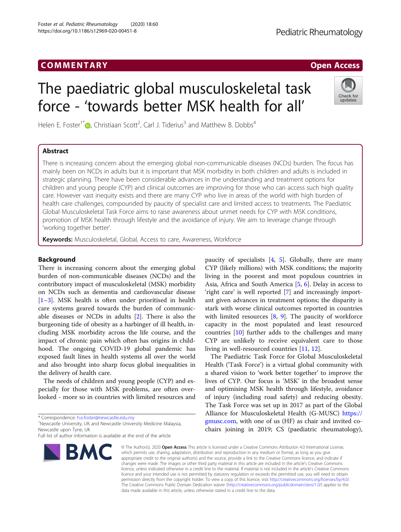Foster et al. Pediatric Rheumatology (2020) 18:60 https://doi.org/10.1186/s12969-020-00451-8

# The paediatric global musculoskeletal task force - 'towards better MSK health for all'

Check for updates

Helen E. Foster<sup>1\*</sup> $\bullet$ [,](http://orcid.org/0000-0001-8824-2546) Christiaan Scott<sup>2</sup>, Carl J. Tiderius<sup>3</sup> and Matthew B. Dobbs<sup>4</sup>

# Abstract

There is increasing concern about the emerging global non-communicable diseases (NCDs) burden. The focus has mainly been on NCDs in adults but it is important that MSK morbidity in both children and adults is included in strategic planning. There have been considerable advances in the understanding and treatment options for children and young people (CYP) and clinical outcomes are improving for those who can access such high quality care. However vast inequity exists and there are many CYP who live in areas of the world with high burden of health care challenges, compounded by paucity of specialist care and limited access to treatments. The Paediatric Global Musculoskeletal Task Force aims to raise awareness about unmet needs for CYP with MSK conditions, promotion of MSK health through lifestyle and the avoidance of injury. We aim to leverage change through 'working together better'.

Keywords: Musculoskeletal, Global, Access to care, Awareness, Workforce

# Background

There is increasing concern about the emerging global burden of non-communicable diseases (NCDs) and the contributory impact of musculoskeletal (MSK) morbidity on NCDs such as dementia and cardiovascular disease [[1](#page-2-0)–[3\]](#page-2-0). MSK health is often under prioritised in health care systems geared towards the burden of communicable diseases or NCDs in adults [[2](#page-2-0)]. There is also the burgeoning tide of obesity as a harbinger of ill health, including MSK morbidity across the life course, and the impact of chronic pain which often has origins in childhood. The ongoing COVID-19 global pandemic has exposed fault lines in health systems all over the world and also brought into sharp focus global inequalities in the delivery of health care.

The needs of children and young people (CYP) and especially for those with MSK problems, are often overlooked - more so in countries with limited resources and

\* Correspondence: [h.e.foster@newcastle.edu.my](mailto:h.e.foster@newcastle.edu.my) <sup>1</sup>

Newcastle University, UK and Newcastle University Medicine Malaysia, Newcastle upon Tyne, UK

Full list of author information is available at the end of the article



paucity of specialists  $[4, 5]$  $[4, 5]$  $[4, 5]$ . Globally, there are many CYP (likely millions) with MSK conditions; the majority living in the poorest and most populous countries in Asia, Africa and South America [[5](#page-2-0), [6\]](#page-2-0). Delay in access to 'right care' is well reported [\[7](#page-2-0)] and increasingly important given advances in treatment options; the disparity is stark with worse clinical outcomes reported in countries with limited resources  $[8, 9]$  $[8, 9]$  $[8, 9]$  $[8, 9]$ . The paucity of workforce capacity in the most populated and least resourced countries [[10\]](#page-2-0) further adds to the challenges and many CYP are unlikely to receive equivalent care to those living in well-resourced countries [[11,](#page-2-0) [12](#page-2-0)].

The Paediatric Task Force for Global Musculoskeletal Health ('Task Force') is a virtual global community with a shared vision to 'work better together' to improve the lives of CYP. Our focus is 'MSK' in the broadest sense and optimising MSK health through lifestyle, avoidance of injury (including road safety) and reducing obesity. The Task Force was set up in 2017 as part of the Global Alliance for Musculoskeletal Health (G-MUSC) [https://](https://gmusc.com) [gmusc.com,](https://gmusc.com) with one of us (HF) as chair and invited cochairs joining in 2019; CS (paediatric rheumatology),

© The Author(s), 2020 **Open Access** This article is licensed under a Creative Commons Attribution 4.0 International License, which permits use, sharing, adaptation, distribution and reproduction in any medium or format, as long as you give appropriate credit to the original author(s) and the source, provide a link to the Creative Commons licence, and indicate if changes were made. The images or other third party material in this article are included in the article's Creative Commons licence, unless indicated otherwise in a credit line to the material. If material is not included in the article's Creative Commons licence and your intended use is not permitted by statutory regulation or exceeds the permitted use, you will need to obtain permission directly from the copyright holder. To view a copy of this licence, visit [http://creativecommons.org/licenses/by/4.0/.](http://creativecommons.org/licenses/by/4.0/) The Creative Commons Public Domain Dedication waiver [\(http://creativecommons.org/publicdomain/zero/1.0/](http://creativecommons.org/publicdomain/zero/1.0/)) applies to the data made available in this article, unless otherwise stated in a credit line to the data.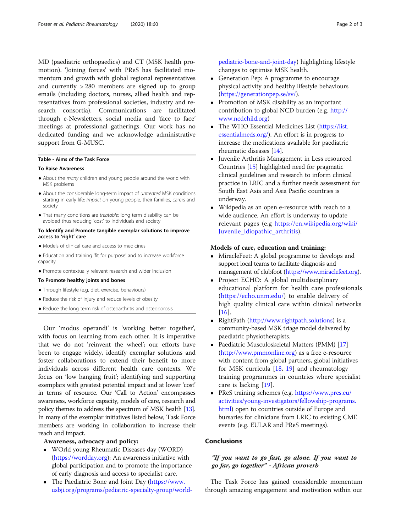MD (paediatric orthopaedics) and CT (MSK health promotion). 'Joining forces' with PReS has facilitated momentum and growth with global regional representatives and currently > 280 members are signed up to group emails (including doctors, nurses, allied health and representatives from professional societies, industry and research consortia). Communications are facilitated through e-Newsletters, social media and 'face to face' meetings at professional gatherings. Our work has no dedicated funding and we acknowledge administrative support from G-MUSC.

### Table - Aims of the Task Force

# To Raise Awareness

- About the many children and young people around the world with MSK problems
- About the considerable long-term impact of untreated MSK conditions starting in early life: impact on young people, their families, carers and society
- That many conditions are treatable; long term disability can be avoided thus reducing 'cost' to individuals and society

### To Identify and Promote tangible exemplar solutions to improve access to 'right' care

- Models of clinical care and access to medicines
- Education and training 'fit for purpose' and to increase workforce capacity
- Promote contextually relevant research and wider inclusion

#### To Promote healthy joints and bones

- Through lifestyle (e.g. diet, exercise, behaviours)
- Reduce the risk of injury and reduce levels of obesity
- Reduce the long term risk of osteoarthritis and osteoporosis

Our 'modus operandi' is 'working better together', with focus on learning from each other. It is imperative that we do not 'reinvent the wheel'; our efforts have been to engage widely, identify exemplar solutions and foster collaborations to extend their benefit to more individuals across different health care contexts. We focus on 'low hanging fruit'; identifying and supporting exemplars with greatest potential impact and at lower 'cost' in terms of resource. Our 'Call to Action' encompasses awareness, workforce capacity, models of care, research and policy themes to address the spectrum of MSK health [\[13](#page-2-0)]. In many of the exemplar initiatives listed below, Task Force members are working in collaboration to increase their reach and impact.

#### Awareness, advocacy and policy:

- WOrld young Rheumatic Diseases day (WORD) (<https://wordday.org>); An awareness initiative with global participation and to promote the importance of early diagnosis and access to specialist care.
- The Paediatric Bone and Joint Day ([https://www.](https://www.usbji.org/programs/pediatric-specialty-group/world-pediatric-bone-and-joint-day) [usbji.org/programs/pediatric-specialty-group/world-](https://www.usbji.org/programs/pediatric-specialty-group/world-pediatric-bone-and-joint-day)

[pediatric-bone-and-joint-day\)](https://www.usbji.org/programs/pediatric-specialty-group/world-pediatric-bone-and-joint-day) highlighting lifestyle changes to optimise MSK health.

- Generation Pep: A programme to encourage physical activity and healthy lifestyle behaviours ([https://generationpep.se/sv/\)](https://generationpep.se/sv/).
- Promotion of MSK disability as an important contribution to global NCD burden (e.g. [http://](http://www.ncdchild.org) [www.ncdchild.org](http://www.ncdchild.org))
- The WHO Essential Medicines List [\(https://list.](https://list.essentialmeds.org/) [essentialmeds.org/](https://list.essentialmeds.org/)). An effort is in progress to increase the medications available for paediatric rheumatic diseases [\[14\]](#page-2-0).
- Juvenile Arthritis Management in Less resourced Countries [\[15\]](#page-2-0) highlighted need for pragmatic clinical guidelines and research to inform clinical practice in LRIC and a further needs assessment for South East Asia and Asia Pacific countries is underway.
- Wikipedia as an open e-resource with reach to a wide audience. An effort is underway to update relevant pages (e.g [https://en.wikipedia.org/wiki/](https://en.wikipedia.org/wiki/Juvenile_idiopathic_arthritis) [Juvenile\\_idiopathic\\_arthritis\)](https://en.wikipedia.org/wiki/Juvenile_idiopathic_arthritis).

#### Models of care, education and training:

- MiracleFeet: A global programme to develops and support local teams to facilitate diagnosis and management of clubfoot [\(https://www.miraclefeet.org](https://www.miraclefeet.org)).
- Project ECHO: A global multidisciplinary educational platform for health care professionals ([https://echo.unm.edu/\)](https://echo.unm.edu/) to enable delivery of high quality clinical care within clinical networks [[16](#page-2-0)].
- RightPath [\(http://www.rightpath.solutions](http://www.rightpath.solutions)) is a community-based MSK triage model delivered by paediatric physiotherapists.
- Paediatric Musculoskeletal Matters (PMM) [[17](#page-2-0)] (<http://www.pmmonline.org>) as a free e-resource with content from global partners, global initiatives for MSK curricula [[18,](#page-2-0) [19\]](#page-2-0) and rheumatology training programmes in countries where specialist care is lacking [[19\]](#page-2-0).
- PReS training schemes (e.g. [https://www.pres.eu/](https://www.pres.eu/activities/young-investigators/fellowship-programs.html) [activities/young-investigators/fellowship-programs.](https://www.pres.eu/activities/young-investigators/fellowship-programs.html) [html\)](https://www.pres.eu/activities/young-investigators/fellowship-programs.html) open to countries outside of Europe and bursaries for clinicians from LRIC to existing CME events (e.g. EULAR and PReS meetings).

# Conclusions

# "If you want to go fast, go alone. If you want to go far, go together" - African proverb

The Task Force has gained considerable momentum through amazing engagement and motivation within our